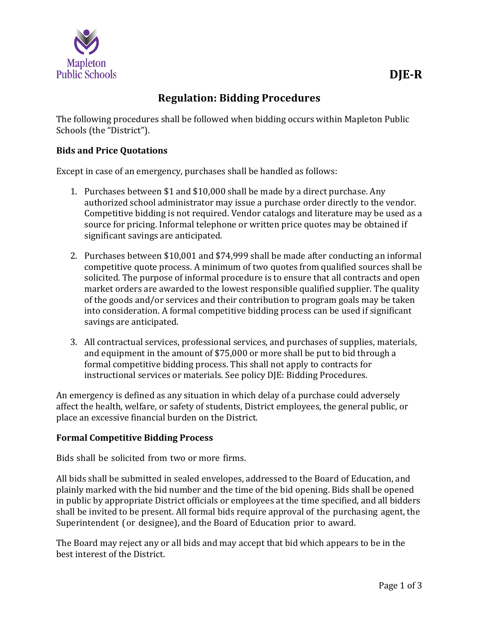

The following procedures shall be followed when bidding occurs within Mapleton Public Schools (the "District").

# **Bids and Price Quotations**

Except in case of an emergency, purchases shall be handled as follows:

- 1. Purchases between \$1 and \$10,000 shall be made by a direct purchase. Any authorized school administrator may issue a purchase order directly to the vendor. Competitive bidding is not required. Vendor catalogs and literature may be used as a source for pricing. Informal telephone or written price quotes may be obtained if significant savings are anticipated.
- 2. Purchases between \$10,001 and \$74,999 shall be made after conducting an informal competitive quote process. A minimum of two quotes from qualified sources shall be solicited. The purpose of informal procedure is to ensure that all contracts and open market orders are awarded to the lowest responsible qualified supplier. The quality of the goods and/or services and their contribution to program goals may be taken into consideration. A formal competitive bidding process can be used if significant savings are anticipated.
- 3. All contractual services, professional services, and purchases of supplies, materials, and equipment in the amount of \$75,000 or more shall be put to bid through a formal competitive bidding process. This shall not apply to contracts for instructional services or materials. See policy DJE: Bidding Procedures.

An emergency is defined as any situation in which delay of a purchase could adversely affect the health, welfare, or safety of students, District employees, the general public, or place an excessive financial burden on the District.

## **Formal Competitive Bidding Process**

Bids shall be solicited from two or more firms.

All bids shall be submitted in sealed envelopes, addressed to the Board of Education, and plainly marked with the bid number and the time of the bid opening. Bids shall be opened in public by appropriate District officials or employees at the time specified, and all bidders shall be invited to be present. All formal bids require approval of the purchasing agent, the Superintendent (or designee), and the Board of Education prior to award.

The Board may reject any or all bids and may accept that bid which appears to be in the best interest of the District.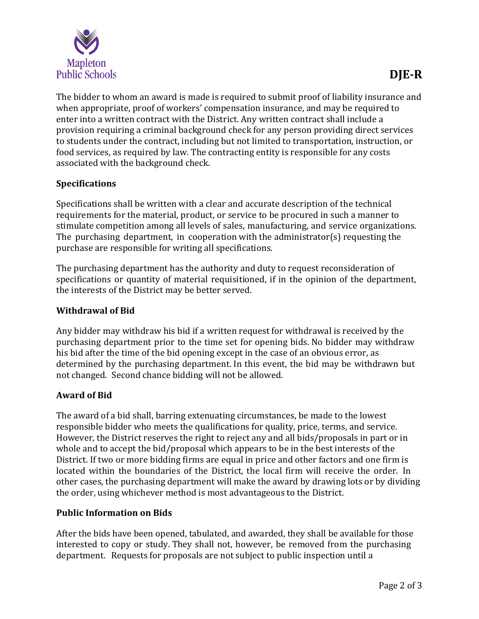

The bidder to whom an award is made is required to submit proof of liability insurance and when appropriate, proof of workers' compensation insurance, and may be required to enter into a written contract with the District. Any written contract shall include a provision requiring a criminal background check for any person providing direct services to students under the contract, including but not limited to transportation, instruction, or food services, as required by law. The contracting entity is responsible for any costs associated with the background check.

## **Specifications**

Specifications shall be written with a clear and accurate description of the technical requirements for the material, product, or service to be procured in such a manner to stimulate competition among all levels of sales, manufacturing, and service organizations. The purchasing department, in cooperation with the administrator(s) requesting the purchase are responsible for writing all specifications.

The purchasing department has the authority and duty to request reconsideration of specifications or quantity of material requisitioned, if in the opinion of the department, the interests of the District may be better served.

#### **Withdrawal of Bid**

Any bidder may withdraw his bid if a written request for withdrawal is received by the purchasing department prior to the time set for opening bids. No bidder may withdraw his bid after the time of the bid opening except in the case of an obvious error, as determined by the purchasing department. In this event, the bid may be withdrawn but not changed. Second chance bidding will not be allowed.

#### **Award of Bid**

The award of a bid shall, barring extenuating circumstances, be made to the lowest responsible bidder who meets the qualifications for quality, price, terms, and service. However, the District reserves the right to reject any and all bids/proposals in part or in whole and to accept the bid/proposal which appears to be in the best interests of the District. If two or more bidding firms are equal in price and other factors and one firm is located within the boundaries of the District, the local firm will receive the order. In other cases, the purchasing department will make the award by drawing lots or by dividing the order, using whichever method is most advantageous to the District.

#### **Public Information on Bids**

After the bids have been opened, tabulated, and awarded, they shall be available for those interested to copy or study. They shall not, however, be removed from the purchasing department. Requests for proposals are not subject to public inspection until a